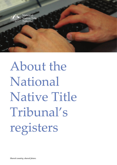

# About the National Native Title Tribunal's registers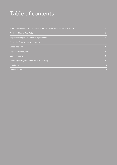#### Table of contents

| 3              |
|----------------|
| $\overline{4}$ |
| 6              |
| 7              |
| 8              |
| 8              |
| 8              |
| 9              |
| 10             |
| 12             |
|                |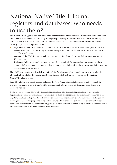#### National Native Title Tribunal registers and databases: who needs to use them?

The **Native Title Registrar** (the Registrar) maintains three **registers** of important information related to native title. The registers are held electronically in the principal registry of the **National Native Title Tribunal** (the NNTT) in Perth, Western Australia. Information from them can also be obtained from each of the state or territory registries. The registers are the:

- **• Register of Native Title Claims** which contains information about native title claimant applications that have satisfied the conditions for registration (the registration test) set out in s. 190A of the *Native Title Act 1993* (Cwlth) (the Act)
- **• National Native Title Register** which contains information about all approved determinations of native title in Australia
- **• Register of Indigenous Land Use Agreements** which contains information about indigenous land use agreements (ILUAs) made between people who hold, or may hold, native title in the area and other people, organisations or governments.

The NNTT also maintains a **Schedule of Native Title Applications** which contains summaries of all native title applications filed in the Federal Court, regardless of whether they are registered on the Register of Native Title Claims or not.

In addition to the above registers and database, the NNTT maintains spatial datasets which represent the external boundaries of all active native title claimant applications, approved determinations, ILUAs and future act notices.

If you are involved in a **native title claimant application**, a **non-claimant application**, a **compensation application**, a **future act** application, or an **indigenous land use agreement**, the information contained in the registers, database and spatial datasets may be essential. This information is particularly important if you are making an ILUA, or are proposing to do certain 'future acts' over an area of land or waters that will affect native title (for example, the grant of mining, prospecting or exploration tenements), to establish who the native title parties are who must be involved in these processes.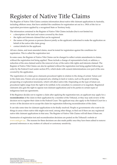# Register of Native Title Claims

The Register of Native Title Claims contains information about native title claimant applications in Australia, including offshore areas, that have satisfied the conditions for registration set out in s. 190A of the Act or equivalent provisions applied by a recognised State or Territory body.

The information contained in the Register of Native Title Claims includes (but is not limited to):

- a description of the land and waters covered by the claim
- the rights and interests claimed that can be registered
- the names of the person or persons (known jointly as the applicant) authorised to make the application on behalf of the native title claim group
- contact details for the applicant.

All new claims, and most amended claims, must be tested for registration against the conditions for registration. This is called the registration test.

In some cases, the Register of Native Title Claims can be changed to reflect certain amendments to claims, without the registration test being applied. These include a change of representative body or address, a reduction of the area claimed and/or the removal of any of the native title rights and interests claimed. The Register of Native Title Claims can also be updated without the registration test being applied following an order by the Federal Court under section 87A, which deals with consent determinations over part of the area covered by the application.

The registration of a claim gives claimants procedural rights in relation to the doing of certain 'future acts' in the claim area. Future acts are proposed acts, relating to land or waters, such as the grant of mining, prospecting or exploration tenements, which will affect native title. Depending on the type of future act, procedural rights range from the right to be notified, to be consulted, to comment or to negotiate. Registered claimants also gain the right to oppose non-claimant applications and to be parties to certain types of indigenous land use agreements.

If the Registrar decides not to register a claim after applying the registration test, an applicant may apply for a **reconsideration** of the claim in their application by a member of the Tribunal, or they may seek review of the decision not to register their claim in the Federal Court. The applicant may also apply to the Federal Court for a review of the decision not to accept the claim for registration following reconsideration of the claim.

It can take some time for claimant applications to be finally resolved. People or governments who want to do things in areas where native title might exist need, among other things, to find out if there are any registered native title claimant applications in that area. The Register of Native Title Claims will tell them if there are.

Summaries of registration test and reconsideration decisions are posted on the Tribunal's website at www.nntt.gov.au . The reasons for these decisions are also made public once they have been edited to remove personal references or any matters of cultural or customary sensitivity.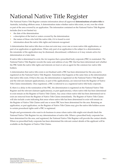# National Native Title Register

The National Native Title Register contains information about all approved **determinations of native title** in Australia, including offshore areas. A determination states whether native title exists, or not, over the whole or part of the area covered by an application. The information contained on the National Native Title Register includes (but is not limited to):

- the date of the determination
- a description of the land or waters covered by the determination
- the names of those who hold the native title, if it is found to exist
- information about the native title rights and interests recognised.

A determination that native title does or does not exist may cover one or more native title applications, or part of an application or applications. When only part of an application is the subject to a determination, the remainder of the application may be dismissed, discontinued, withdrawn or it may remain active for determination at a later date.

If native title is determined to exist, the Act requires that a prescribed body corporate (PBC) is nominated. The National Native Title Register records the name and address of any PBC that has been determined and whether the PBC holds the native title rights and interests on trust or acts as agent for the common law native title holders.

A determination that native title exists is not finalised until a PBC has been determined for the area and is registered on the National Native Title Register. Sometimes that happens at the same time as the determination that native title exists. If that is the case, the determination is registered on the National Native Title Register and the relevant claimant application(s), or part of the application(s), are removed from the Register of Native Title Claims immediately. Once registered, a PBC is referred to as a registered native title body corporate.

If, there is a delay in the nomination of the PBC, the determination is registered on the National Native Title Register and the relevant claimant application(s), or part application(s), where native title has been determined to exist remain on the Register of Native Title Claims. Any areas where native title has been determined not to exist are removed from the Register of Native Title Claims immediately. The Register of Native Title Claims will also include a note indicating that areas where native title has been determined to exist will remain on the Register of Native Title Claims until one or more PBC have been determined for the area. Retaining an application, or part application, on the Register of Native Title Claims may give the native title holders access to certain procedural rights until a PBC is registered.

People and governments who want to do business in areas where native title might exist should check the National Native Title Register for any determinations of native title. Where a prescribed body corporate has been determined for the area, and registered, the National Native Title Register will provide the contact details. Where no prescribed body corporate has been determined the relevant contact details of the applicant will be available on the Register of Native Title Claims.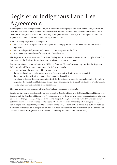#### Register of Indigenous Land Use Agreements

An indigenous land use agreement is a type of contract between people who hold, or may hold, native title in an area and other interest holders. While registered, an ILUA binds *all* native title holders for the area to the terms of the agreement, whether or not they are signatories to it. The Register of Indigenous Land Use Agreements contains information about all registered ILUAs.

An ILUA is only registered if the Registrar:

- has checked that the agreement and the application comply with the requirements of the Act and the regulations
- has notified specified persons and, in certain cases, the public of the ILUA
- considers that the conditions for registration have been met.

The Registrar must also remove an ILUA from the Register in certain circumstances, for example, where the parties advise the Registrar in writing that they wish to terminate the agreement.

Parties may wish to keep the details of an ILUA confidential. The Act however, requires that the Register of Indigenous Land Use Agreements contains the following details:

- a description of the area covered by the agreement
- the name of each party to the agreement and the address at which they can be contacted
- the period during which the agreement will operate, if specified
- any statements regarding surrender of native title, the doing of future acts, contracting out of the right to negotiate, the validation of future acts already done or changing the effect of validation of an intermediate period act, if they are included in the agreement.

The Registrar may also enter any other details that are considered appropriate.

People wanting to make an ILUA should also check the Register of Native Title Claims, National Native Title Register and the Schedule of Native Title Applications to see if there are any people or organisations who must be parties to the type of ILUA they are considering. People should, however, be aware that the registers and databases may not contain records of all persons who may need to be parties to particular types of ILUAs. For example, some people may need to be involved who hold, or claim to hold native title, but have not filed a claimant application. Such people can only be identified by discussion and consultation on the ground (for example with the Aboriginal and Torres Strait Islander Representative Body for the area).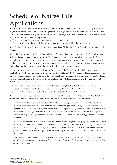## Schedule of Native Title Applications

The **Schedule of Native Title Applications** contains information held by the NNTT concerning all native title applications — claimant, non-claimant, compensation and applications for a revised determination of native title. This includes claimant applications that are not on the Register of Native Title Claims because they have:

- not yet been considered for registration
- been considered for registration but have not been accepted, or
- been amended, but the amended application has not yet been considered for registration.

The schedule does not include applications which have been filed in the Federal Court but not yet given to the Registrar.

When the Registrar is advised by the Federal Court of an amendment to an application the Schedule of Native Title Applications is amended accordingly. The Registrar must then consider whether, as a result of that amendment, the application needs to undergo the registration test again. In some cases the application will not have to — for example, where there is a change of representative body or address, a reduction of the area claimed and/or the removal of any of the native title rights and interests claimed.

It is important to compare any extract from the Register of Native Title Claims in relation to a particular application with the corresponding entry in the Schedule of Native Title Applications. This is because in some cases an amended application will need to have the registration test applied. This can take between two to six months. During that time the details on the Schedule of Native Title Applications and the Register of Native Title Claims will not be consistent.

If the amended application meets the conditions for registration, the Register of Native Title Claims will be updated. If the amended application does not meet the registration conditions, it will be removed from the Register of Native Title Claims but will remain on the Schedule of Native Title Applications.

The example below illustrates the potential for there to be differences between the entries on Register of Native Title Claims and the Schedule of Native Title Applications in relation to the same application:

*The claim in a native title application satisfies the conditions of the registration test and is entered on the Register of Native Title Claims. The native title claimants then amend their application to change the area description. The amendments reduce the area covered by the application, so the Registrar simply amends the Schedule of Native Title Applications and the Register of Native Title Claims to reflect the reduced claim area. There will be no difference between the entry on the Register of Native Title Claims and the Schedule of Native Title Applications in relation to the application area.* 

*If however, the claimants were to further amend their application to change the claim group description, the Schedule of Native Title Applications would be updated immediately but the Registrar would have to re-apply the registration test to the amended claim before the Register of Native Title Claims could be updated. Until this is done the claim group description will be reflected differently on the Register of Native Title Claims and the Schedule of Native Title Applications.*

*If the claim in the amended application meets the conditions for registration, the Register of Native Title Claims will be updated. If it does not it will be removed from the Register of Native Title Claims but will remain on the Schedule of Native Title Applications.*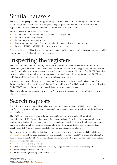## Spatial datasets

The NNTT holds geospatial data to support the registers but which do not technically form part of the statutory registers. These datasets are designed to help people to visualise native title determination applications, approved determinations and ILUAs and search on these matters.

This data relates to the *external boundaries* of:

- all active claimant applications, both registered and unregistered
- all active non-claimant applications
- all active compensation applications
- all approved determinations of native title, either that native title does or does not exist
- all registered ILUAs and ILUAs that are in the registration process.

Data is also held on all historical applications and agreements (for example, applications and agreements which have been dismissed, discontinued or withdrawn).

# Inspecting the registers

The NNTT can assist anyone to identify native title applications, native title determinations and ILUAs that may cover a particular area. If you already know the name or file number of an application, a determination or an ILUA in relation to the area you are interested in, you can inspect the Registers of the NNTT. Inspecting the registers in person also allows you to look at any additional material such as maps that the NNTT may hold that would be too impractical to photocopy and send to you by mail.

Any person may inspect these registers at any time during normal business hours by visiting one of the Tribunal's offices in Brisbane, Cairns, Melbourne, Perth and Sydney. A self help service is also available using Native TitleVision – the Tribunal's web-based visualisation and enquiry system.

There are no charges for inspecting the registers. Photocopying fees may apply if you wish to take away a copy of a register extract.

#### Search requests

If you do not know the name or file number of an application, determination or ILUA or if you want to find out if there is any native title activity over a particular area you may request a search against the Tribunal's geospatial datasets.

The NNTT can identify if an area overlaps the *external* boundaries of any native title application, determination or ILUA. You can then inspect the relevant registers. Sometimes the area description in an application will not specify, by way of parcel or tenement numbers, all the areas within the external boundary that are excluded from the application (for example, areas where native title has been extinguished are usually excluded). This may require detailed geospatial analysis and legal advice.

To request a search, you will need to fill out a search request form (available from the NNTT website at www.nntt.gov.au or from your local registry) and e-mail, fax or mail it to the NNTT, clearly identifying the area you are interested in. The NNTT may charge a fee for this and other geospatial services, although basic searches are provided free of charge to:

- parties to a native title application
- interest holders in relation to the area covered by an application who intend to become parties
- parties to negotiations of an ILUA
- persons objecting to the registration of an ILUA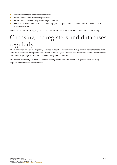- state or territory government organisations
- parties involved in future act negotiations
- parties involved in statutory access negotiations, or
- people able to demonstrate financial hardship (for example, holders of Commonwealth health care or concession cards).

Please contact your local registry on freecall 1800 640 501 for more information on making a search request.

#### Checking the registers and databases regularly

The information held on the registers, database and spatial datasets may change for a variety of reasons, even within a twenty-four hour period, so you should obtain register extracts and application summaries more than once while applying for a mineral tenement, or negotiating an ILUA.

Information may change quickly if a new or existing native title application is registered or an existing application is amended or determined.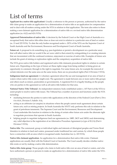## List of terms

**Applicant (to a native title application)**: Usually a reference to the person or persons, authorised by the native title claim group to make an application for a determination of native title or an application for compensation and to deal with all matters arising under the NTA in relation to that application. The term also refers to those making a non-claimant application for a determination of native title or a revised native title determination application (ss. 61(2) and 62A NTA).

**Approved Determination of native title**: A decision by the Federal Court or the High Court of Australia or a recognised body that native title either does or does not exist in relation to a particular area of land or waters (ss. 13 and 225 NTA). To date the only bodies recognised under s. 207A of the NTA are the Supreme Court of South Australia and the Environment, Resources and Development Court of South Australia.

**Future act**: A proposal to do something (e.g. pass legislation or permit a development on a particular area) that will affect native title (or would if the act were valid to that extent) by extinguishing it or creating interests that are inconsistent with the continued existence, enjoyment or exercise of native title. Examples of future acts include the grant of mining or exploration rights and the compulsory acquisition of native title.

The NTA gives native title holders and registered native title claimants procedural rights in relation to certain future acts. Depending on the type of future act these rights range from being notified, to being given an opportunity to comment, through to the right to negotiate. For some future acts, for example the renewal of certain interests over the same area on the same terms, there are no procedural rights (Part 2 Division 3 NTA).

**Indigenous land use agreement**: A voluntary agreement about the use and management of an area of land or waters where native title exists or might exist. The agreement is made between one or more native title groups and others (such as miners, pastoralists or governments). A registered ILUA is legally binding on the people who are parties to the agreement as well as all native title holders for that area.

**National Native Title Tribunal**: An independent statutory body established under s. 107 Part 6 of the NTA to assist people to resolve native title issues. The Tribunal has a number of powers and functions under the NTA including:

- mediating between the parties to native title applications at the direction of the Federal Court (Part 6, Divs 4 to 4AA, Division 5, Subdiv AA),
- acting as an arbitrator (or umpire) in situations where the people cannot reach agreement about certain future acts, such as mining projects. In South Australia the NNTT only performs this role in relation to the grant of petroleum tenements. The Supreme Court and the Environment, Resources and Development Court undertake this function in relation to the doing of certain other future acts under the alternate right to negotiate provisions that operate in South Australia.
- helping people to negotiate indigenous land use agreements (ss. 24BF, 24CF and 24DG) and determining any valid objection to the registration of an Alternative Procedure Agreement (a type of ILUA) (Part 6 Division 5 NTA).

**Native title**: The communal, group or individual rights and interests of Aboriginal peoples and Torres Strait Islanders in relation to land and waters, possessed under traditional law and custom, by which those people have a connection with an area which is recognised under Australian law (s. 223 NTA).

**Native title claimant application**: An application for a determination that native title exists. Claimant applications are usually filed with the Federal Court of Australia. The Court usually decides whether native title exists or not by making a native title determination.

**Native title claim group**: Those people who claim to hold native title over an area of land or waters, and who have authorised a person or persons to make an application for a determination of native title under the NTA .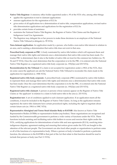**Native Title Registrar**: A statutory office holder appointed under s. 95 of the NTA who, among other things:

- applies the registration to test to claimant applications
- assesses applications for the registration of ILUAs
- gives notice of all applications for a determination of native title, compensation applications, revised native title determination applications and applications for the registration of ILUAs
- provides certain forms of assistance
- maintains the National Native Title Register, the Register of Native Title Claims and the Register of Indigenous Land Use Agreements.
- The Registrar may delegate his or her powers to make these decisions to an employee of the National Native Title Tribunal (a delegate) (s. 99 NTA).

**Non-claimant application**: An application made by a person, who holds a non-native title interest in relation to an area, and is seeking a determination that native title does not exist in that area.

**Prescribed body corporate or PBC**: A body nominated by native title holders which will represent them and manage their native title rights and interests once a determination that native title exists has been made. If a trustee PBC is determined, then it also is the holder of native title on trust for the common law holders (ss. 55, 56 and 57 NTA). Once the court determines that the corporation is to be the PBC, it is entered onto the National Native Title Register as a registered native title body corporate (ss. 193(2)(e) and 253 NTA).

**Reconsideration by the Tribunal**: If a claim is not accepted for registration under s.190A of the NTA, then (in some cases) the applicant can ask the National Native Title Tribunal to reconsider the claim made in the application for registration (s. 190E NTA).

**Registered native title body corporate**: A prescribed body corporate (PBC) nominated by native title holders to represent them and manage their native title rights and interests once a determination that native title exists has been made. Once the court determines that the corporation is to be the PBC, it is entered onto the National Native Title Register as a registered native title body corporate (ss. 193(2)(e) and 253 NTA).

**Registered native title claimant**: A person or persons whose name(s) appear on the Register of Native Title Claims as 'the applicant' in relation to a claim to hold native title in the area (s. 253 NTA).

**Registration test**: A set of conditions applied to each claimant application. If an application meets all the conditions, it must be included in the Register of Native Title Claims. As long as the application remains registered, the native title claimants have certain procedural rights, including the right to negotiate about certain future acts (ss. 190A to 190C NTA).

**Representative Aboriginal and Torres Strait Islander Body or RATSIB**: Also known as Native Title Representative Bodies (NTRBs) or representative bodies (rep bodies). These organisations are recognised and funded by the Commonwealth government to perform a wide variety of functions under the NTA. These functions include assisting and facilitating native title holders to access and exercise their rights under the NTA, certifying applications for determinations of native title and area agreements (ILUA), resolving intraindigenous disputes, agreement making and ensuring that notices given under the NTA are bought to the attention of the relevant people. The Government can also fund other people or organisations to perform some or all of the functions of a representative body. Where a person or body is funded to perform a particular function, the references to the RATSIB in that part of the Act that relate to that function should be read to include that person or body (see Part 11 NTA).